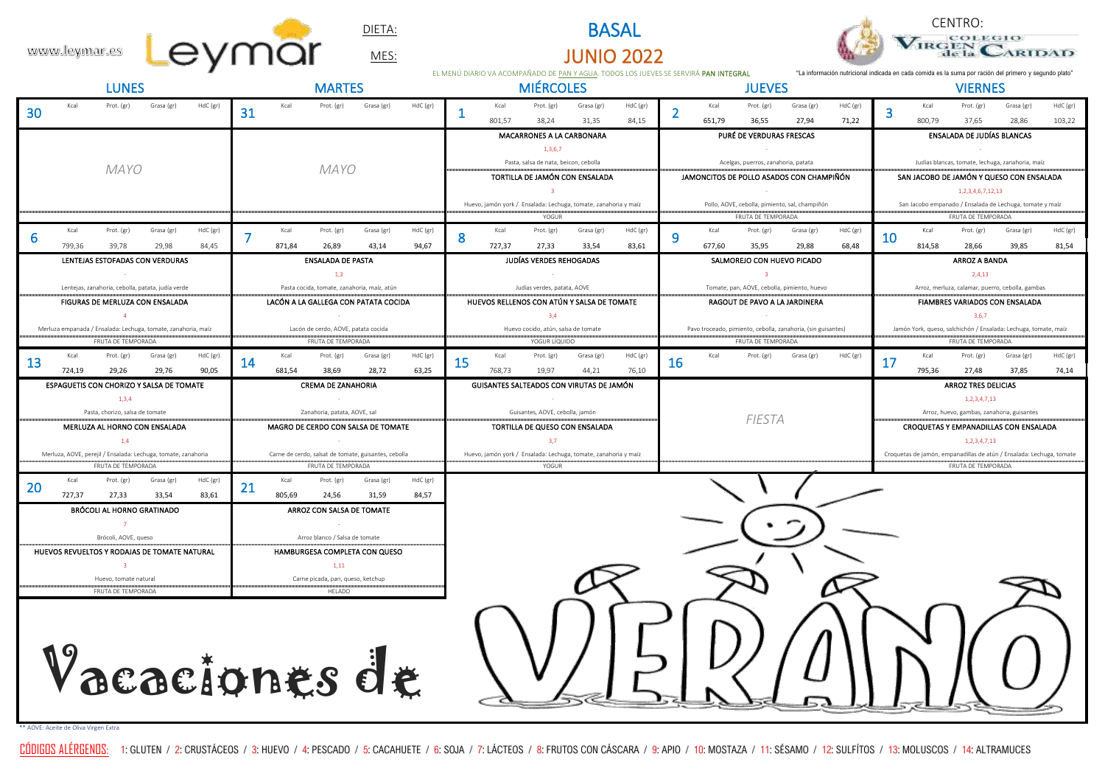



|              |               |                                                                                     |            |          |    |                |                                                           | DIETA:     |          |                                                                         |                  |                                                                                      | <b>BASAL</b>                                                    |                                                                                 |    |               |                                     |                                                                                              |          |    |                   | COLEGIO                                                                                                |                                                                      |          |
|--------------|---------------|-------------------------------------------------------------------------------------|------------|----------|----|----------------|-----------------------------------------------------------|------------|----------|-------------------------------------------------------------------------|------------------|--------------------------------------------------------------------------------------|-----------------------------------------------------------------|---------------------------------------------------------------------------------|----|---------------|-------------------------------------|----------------------------------------------------------------------------------------------|----------|----|-------------------|--------------------------------------------------------------------------------------------------------|----------------------------------------------------------------------|----------|
|              | www.leymar.es |                                                                                     |            |          |    |                |                                                           | MES:       |          |                                                                         |                  |                                                                                      | <b>JUNIO 2022</b>                                               |                                                                                 |    |               |                                     |                                                                                              |          |    |                   |                                                                                                        | ARIDAD                                                               |          |
| <b>LUNES</b> |               |                                                                                     |            |          |    | <b>MARTES</b>  |                                                           |            |          |                                                                         | <b>MIÉRCOLES</b> | EL MENÚ DIARIO VA ACOMPAÑADO DE PAN Y AGUA. TODOS LOS JUEVES SE SERVIRÁ PAN INTEGRAL |                                                                 |                                                                                 |    | <b>JUEVES</b> |                                     |                                                                                              |          |    | <b>VIERNES</b>    | "La información nutricional indicada en cada comida es la suma por ración del primero y segundo plato" |                                                                      |          |
|              | Kcal          | Prot. (gr)                                                                          | Grasa (gr) | HdC (gr) |    | Kcal           | Prot. (gr)                                                | Grasa (gr) | HdC (gr) |                                                                         | Kcal             | Prot. (gr)                                                                           | Grasa (gr)                                                      | HdC (gr)                                                                        |    | Kcal          | Prot. (gr)                          | Grasa (gr)                                                                                   | HdC (gr) |    | Kcal              | Prot. (gr)                                                                                             | Grasa (gr)                                                           | HdC (gr) |
| 30           |               |                                                                                     |            |          | 31 |                |                                                           |            |          |                                                                         | 801,57           | 38,24                                                                                | 31,35                                                           | 84,15                                                                           | 2  | 651,79        | 36,55                               | 27,94                                                                                        | 71,22    | 3  | 800,79            | 37,65                                                                                                  | 28,86                                                                | 103,22   |
|              |               |                                                                                     |            |          |    |                |                                                           |            |          |                                                                         |                  | MACARRONES A LA CARBONARA                                                            |                                                                 |                                                                                 |    |               | PURÉ DE VERDURAS FRESCAS            |                                                                                              |          |    |                   | ENSALADA DE JUDÍAS BLANCAS                                                                             |                                                                      |          |
|              |               |                                                                                     |            |          |    |                |                                                           |            |          |                                                                         |                  | 1,3,6,7                                                                              |                                                                 |                                                                                 |    |               |                                     |                                                                                              |          |    |                   |                                                                                                        |                                                                      |          |
|              |               | <b>MAYO</b>                                                                         |            |          |    | MAYO           |                                                           |            |          | Pasta, salsa de nata, beicon, cebolla<br>TORTILLA DE JAMÓN CON ENSALADA |                  |                                                                                      |                                                                 | Acelgas, puerros, zanahoria, patata<br>JAMONCITOS DE POLLO ASADOS CON CHAMPIÑÓN |    |               |                                     | Judías blancas, tomate, lechuga, zanahoria, maíz<br>SAN JACOBO DE JAMÓN Y QUESO CON ENSALADA |          |    |                   |                                                                                                        |                                                                      |          |
|              |               |                                                                                     |            |          |    |                |                                                           |            |          |                                                                         |                  | $\overline{\mathbf{3}}$                                                              |                                                                 |                                                                                 |    |               |                                     |                                                                                              |          |    | 1,2,3,4,6,7,12,13 |                                                                                                        |                                                                      |          |
|              |               |                                                                                     |            |          |    |                |                                                           |            |          |                                                                         |                  |                                                                                      | Huevo, jamón york / Ensalada: Lechuga, tomate, zanahoria y maíz |                                                                                 |    |               |                                     | Pollo, AOVE, cebolla, pimiento, sal, champiñón                                               |          |    |                   |                                                                                                        | San Jacobo empanado / Ensalada de Lechuga, tomate y maíz             |          |
|              |               |                                                                                     |            |          |    |                |                                                           |            |          |                                                                         |                  | YOGUR                                                                                |                                                                 |                                                                                 |    |               | FRUTA DE TEMPORADA                  |                                                                                              |          |    |                   | FRUTA DE TEMPORADA                                                                                     |                                                                      |          |
|              | Kcal          | Prot. (gr)                                                                          | Grasa (gr) | HdC (gr) |    | Kcal<br>871,84 | Prot. (gr)                                                | Grasa (gr) | HdC (gr) | 8                                                                       | Kcal             | Prot. (gr)                                                                           | Grasa (gr)                                                      | HdC (gr)                                                                        | 9  | Kcal          | Prot. (gr)                          | Grasa (gr)                                                                                   | HdC (gr) | 10 | Kcal              | Prot. (gr)                                                                                             | Grasa (gr)                                                           | HdC (gr) |
|              | 799,36        | 39,78<br>LENTEJAS ESTOFADAS CON VERDURAS                                            | 29,98      | 84,45    |    |                | 26,89<br><b>ENSALADA DE PASTA</b>                         | 43,14      | 94,67    |                                                                         | 727,37           | 27,33<br>JUDÍAS VERDES REHOGADAS                                                     | 33,54                                                           | 83,61                                                                           |    | 677,60        | 35,95<br>SALMOREJO CON HUEVO PICADO | 29,88                                                                                        | 68,48    |    | 814,58            | 28,66<br><b>ARROZ A BANDA</b>                                                                          | 39,85                                                                | 81,54    |
|              |               |                                                                                     |            |          |    |                | 1,3                                                       |            |          |                                                                         |                  |                                                                                      |                                                                 |                                                                                 |    |               | $\overline{\mathbf{3}}$             |                                                                                              |          |    |                   | 2,4,13                                                                                                 |                                                                      |          |
|              |               | Lentejas, zanahoria, cebolla, patata, judía verde                                   |            |          |    |                | Pasta cocida, tomate, zanahoria, maíz, atún               |            |          |                                                                         |                  | Judías verdes, patata, AOVE                                                          |                                                                 |                                                                                 |    |               |                                     | Tomate, pan, AOVE, cebolla, pimiento, huevo                                                  |          |    |                   |                                                                                                        | Arroz, merluza, calamar, puerro, cebolla, gambas                     |          |
|              |               | FIGURAS DE MERLUZA CON ENSALADA                                                     |            |          |    |                | LACÓN A LA GALLEGA CON PATATA COCIDA                      |            |          |                                                                         |                  |                                                                                      | HUEVOS RELLENOS CON ATÚN Y SALSA DE TOMATE                      |                                                                                 |    |               | RAGOUT DE PAVO A LA JARDINERA       |                                                                                              |          |    |                   |                                                                                                        | FIAMBRES VARIADOS CON ENSALADA                                       |          |
|              |               | $\overline{4}$                                                                      |            |          |    |                |                                                           |            |          |                                                                         |                  | 3,4                                                                                  |                                                                 |                                                                                 |    |               |                                     |                                                                                              |          |    |                   | 3,6,7                                                                                                  |                                                                      |          |
|              |               | Merluza empanada / Ensalada: Lechuga, tomate, zanahoria, maíz<br>FRUTA DE TEMPORADA |            |          |    |                | Lacón de cerdo, AOVE, patata cocida<br>FRUTA DE TEMPORADA |            |          |                                                                         |                  | Huevo cocido, atún, salsa de tomate<br>YOGUR LÍQUIDO                                 |                                                                 |                                                                                 |    |               | FRUTA DE TEMPORADA                  | Pavo troceado, pimiento, cebolla, zanahoria, (sin guisantes)                                 |          |    |                   | FRUTA DE TEMPORADA                                                                                     | Jamón York, queso, salchichón / Ensalada: Lechuga, tomate, maíz      |          |
|              | Kcal          | Prot. (gr)                                                                          | Grasa (gr) | HdC (gr) |    | Kcal           | Prot. (gr)                                                | Grasa (gr) | HdC (gr) |                                                                         | Kcal             | Prot. (gr)                                                                           | Grasa (gr)                                                      | HdC (gr)                                                                        |    | Kcal          | Prot. (gr)                          | Grasa (gr)                                                                                   | HdC (gr) |    | Kcal              | Prot. (gr)                                                                                             | Grasa (gr)                                                           | HdC (gr) |
| 13           |               |                                                                                     |            |          |    |                |                                                           |            |          |                                                                         |                  |                                                                                      |                                                                 |                                                                                 |    |               |                                     |                                                                                              |          |    |                   |                                                                                                        |                                                                      |          |
|              | 724,19        | 29,26                                                                               | 29,76      | 90,05    | 14 | 681,54         | 38,69                                                     | 28,72      | 63,25    | 15                                                                      | 768,73           | 19,97                                                                                | 44,21                                                           | 76,10                                                                           | 16 |               |                                     |                                                                                              |          | 17 | 795,36            | 27,48                                                                                                  | 37,85                                                                | 74,14    |
|              |               | ESPAGUETIS CON CHORIZO Y SALSA DE TOMATE                                            |            |          |    |                | <b>CREMA DE ZANAHORIA</b>                                 |            |          |                                                                         |                  |                                                                                      | GUISANTES SALTEADOS CON VIRUTAS DE JAMÓN                        |                                                                                 |    |               |                                     |                                                                                              |          |    |                   | <b>ARROZ TRES DELICIAS</b>                                                                             |                                                                      |          |
|              |               | 1,3,4                                                                               |            |          |    |                |                                                           |            |          |                                                                         |                  |                                                                                      |                                                                 |                                                                                 |    |               |                                     |                                                                                              |          |    |                   | 1,2,3,4,7,13                                                                                           |                                                                      |          |
|              |               | Pasta, chorizo, salsa de tomate                                                     |            |          |    |                | Zanahoria, patata, AOVE, sal                              |            |          |                                                                         |                  | Guisantes, AOVE, cebolla, jamón                                                      |                                                                 |                                                                                 |    |               | <b>FIESTA</b>                       |                                                                                              |          |    |                   | Arroz, huevo, gambas, zanahoria, guisantes                                                             |                                                                      |          |
|              |               | MERLUZA AL HORNO CON ENSALADA<br>1,4                                                |            |          |    |                | MAGRO DE CERDO CON SALSA DE TOMATE                        |            |          |                                                                         |                  | 3,7                                                                                  | TORTILLA DE QUESO CON ENSALADA                                  |                                                                                 |    |               |                                     |                                                                                              |          |    |                   | 1,2,3,4,7,13                                                                                           | CROQUETAS Y EMPANADILLAS CON ENSALADA                                |          |
|              |               | Merluza, AOVE, perejil / Ensalada: Lechuga, tomate, zanahoria                       |            |          |    |                | Carne de cerdo, salsat de tomate, guisantes, cebolla      |            |          |                                                                         |                  |                                                                                      | Huevo, jamón york / Ensalada: Lechuga, tomate, zanahoria y maíz |                                                                                 |    |               |                                     |                                                                                              |          |    |                   |                                                                                                        | Croquetas de jamón, empanadillas de atún / Ensalada: Lechuga, tomate |          |
|              |               | FRUTA DE TEMPORADA                                                                  |            |          |    |                | FRUTA DE TEMPORADA                                        |            |          |                                                                         |                  | YOGUR                                                                                |                                                                 |                                                                                 |    |               |                                     |                                                                                              |          |    |                   | FRUTA DE TEMPORADA                                                                                     |                                                                      |          |
| 20           | Kcal          | Prot. (gr)                                                                          | Grasa (gr) | HdC (gr) | 21 | Kcal           | Prot. (gr)                                                | Grasa (gr) | HdC (gr) |                                                                         |                  |                                                                                      |                                                                 |                                                                                 |    |               |                                     |                                                                                              |          |    |                   |                                                                                                        |                                                                      |          |
|              | 727,37        | 27,33                                                                               | 33,54      | 83,61    |    | 805,69         | 24,56                                                     | 31,59      | 84,57    |                                                                         |                  |                                                                                      |                                                                 |                                                                                 |    |               |                                     |                                                                                              |          |    |                   |                                                                                                        |                                                                      |          |
|              |               | BRÓCOLI AL HORNO GRATINADO<br>$\overline{7}$                                        |            |          |    |                | ARROZ CON SALSA DE TOMATE                                 |            |          |                                                                         |                  |                                                                                      |                                                                 |                                                                                 |    |               |                                     |                                                                                              |          |    |                   |                                                                                                        |                                                                      |          |
|              |               | Brócoli, AOVE, queso                                                                |            |          |    |                | Arroz blanco / Salsa de tomate                            |            |          |                                                                         |                  |                                                                                      |                                                                 |                                                                                 |    |               |                                     |                                                                                              |          |    |                   |                                                                                                        |                                                                      |          |
|              |               | HUEVOS REVUELTOS Y RODAJAS DE TOMATE NATURAL                                        |            |          |    |                | HAMBURGESA COMPLETA CON QUESO                             |            |          |                                                                         |                  |                                                                                      |                                                                 |                                                                                 |    |               |                                     |                                                                                              |          |    |                   |                                                                                                        |                                                                      |          |
|              |               | $\overline{\mathbf{3}}$                                                             |            |          |    |                | 1,11                                                      |            |          |                                                                         |                  |                                                                                      |                                                                 |                                                                                 |    |               |                                     |                                                                                              |          |    |                   |                                                                                                        |                                                                      |          |
|              |               | Huevo, tomate natural<br>FRUTA DE TEMPORADA                                         |            |          |    |                | Carne picada, pan, queso, ketchup<br>HELADO               |            |          |                                                                         |                  |                                                                                      |                                                                 |                                                                                 |    |               |                                     |                                                                                              |          |    |                   |                                                                                                        |                                                                      |          |
|              |               |                                                                                     |            |          |    |                |                                                           |            |          |                                                                         |                  |                                                                                      |                                                                 |                                                                                 |    |               |                                     |                                                                                              |          |    |                   |                                                                                                        |                                                                      |          |
|              |               |                                                                                     |            |          |    |                |                                                           |            |          |                                                                         |                  |                                                                                      |                                                                 |                                                                                 |    |               |                                     |                                                                                              |          |    |                   |                                                                                                        |                                                                      |          |
|              |               |                                                                                     |            |          |    |                |                                                           |            |          |                                                                         |                  |                                                                                      |                                                                 |                                                                                 |    |               |                                     |                                                                                              |          |    |                   |                                                                                                        |                                                                      |          |
|              |               |                                                                                     |            |          |    |                |                                                           |            |          |                                                                         |                  |                                                                                      |                                                                 |                                                                                 |    |               |                                     |                                                                                              |          |    |                   |                                                                                                        |                                                                      |          |
|              |               |                                                                                     |            |          |    |                |                                                           |            |          |                                                                         |                  |                                                                                      |                                                                 |                                                                                 |    |               |                                     |                                                                                              |          |    |                   |                                                                                                        |                                                                      |          |
|              |               | Vacaciones de                                                                       |            |          |    |                |                                                           |            |          |                                                                         |                  |                                                                                      |                                                                 |                                                                                 |    |               |                                     |                                                                                              |          |    |                   |                                                                                                        | 5Q/NN(0)                                                             |          |

**DIETA:** BASAL<br>
<u>MES:</u> MES: JUNIO 20

\*\* AOVE: Aceite de Oliva Virgen Extra